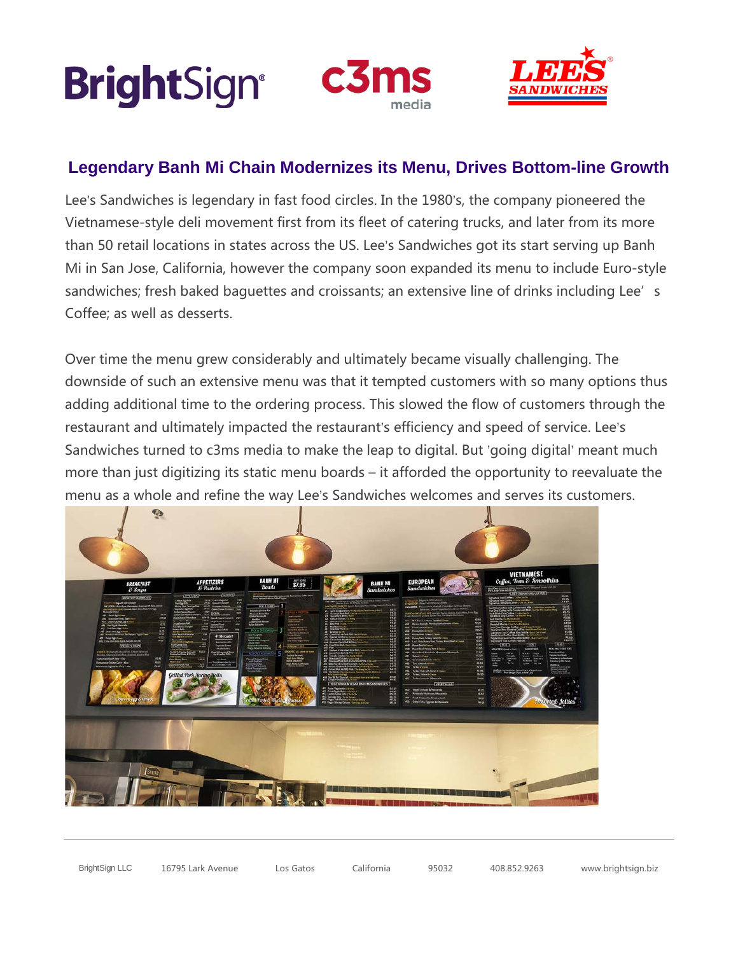





# **Legendary Banh Mi Chain Modernizes its Menu, Drives Bottom-line Growth**

Lee's Sandwiches is legendary in fast food circles. In the 1980's, the company pioneered the Vietnamese-style deli movement first from its fleet of catering trucks, and later from its more than 50 retail locations in states across the US. Lee's Sandwiches got its start serving up Banh Mi in San Jose, California, however the company soon expanded its menu to include Euro-style sandwiches; fresh baked baguettes and croissants; an extensive line of drinks including Lee's Coffee; as well as desserts.

Over time the menu grew considerably and ultimately became visually challenging. The downside of such an extensive menu was that it tempted customers with so many options thus adding additional time to the ordering process. This slowed the flow of customers through the restaurant and ultimately impacted the restaurant's efficiency and speed of service. Lee's Sandwiches turned to c3ms media to make the leap to digital. But 'going digital' meant much more than just digitizing its static menu boards – it afforded the opportunity to reevaluate the menu as a whole and refine the way Lee's Sandwiches welcomes and serves its customers.



BrightSign LLC 16795 Lark Avenue Los Gatos California 95032 408.852.9263 www.brightsign.biz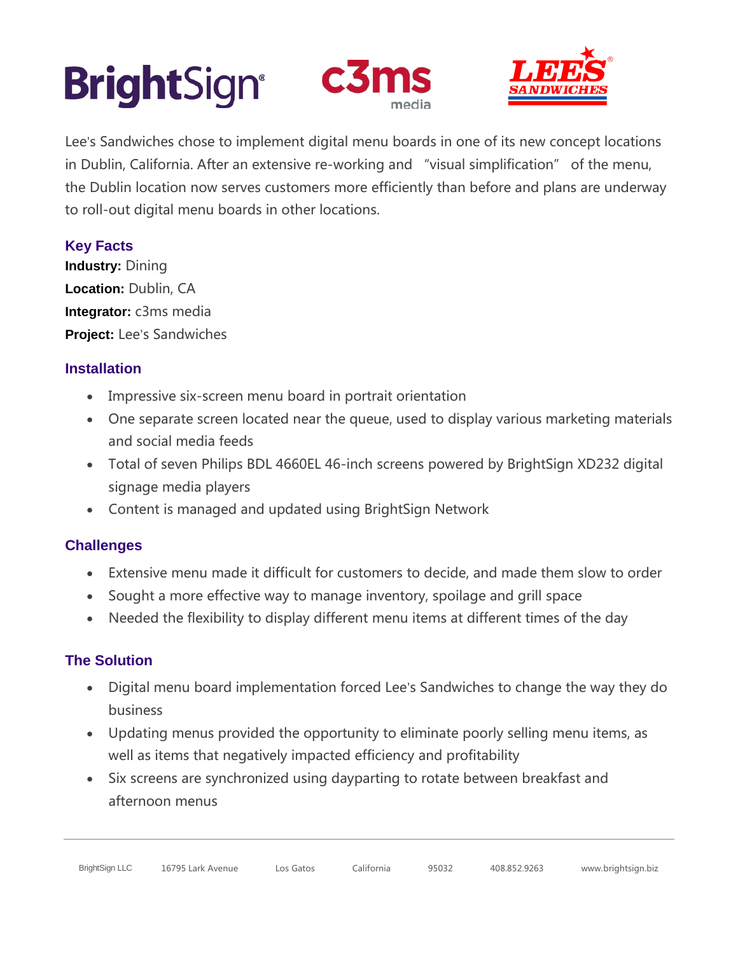# **BrightSign®**





Lee's Sandwiches chose to implement digital menu boards in one of its new concept locations in Dublin, California. After an extensive re-working and "visual simplification" of the menu, the Dublin location now serves customers more efficiently than before and plans are underway to roll-out digital menu boards in other locations.

## **Key Facts**

**Industry:** Dining **Location:** Dublin, CA **Integrator:** c3ms media **Project:** Lee's Sandwiches

### **Installation**

- Impressive six-screen menu board in portrait orientation
- One separate screen located near the queue, used to display various marketing materials and social media feeds
- Total of seven Philips BDL 4660EL 46-inch screens powered by BrightSign XD232 digital signage media players
- Content is managed and updated using BrightSign Network

### **Challenges**

- Extensive menu made it difficult for customers to decide, and made them slow to order
- Sought a more effective way to manage inventory, spoilage and grill space
- Needed the flexibility to display different menu items at different times of the day

### **The Solution**

- Digital menu board implementation forced Lee's Sandwiches to change the way they do business
- Updating menus provided the opportunity to eliminate poorly selling menu items, as well as items that negatively impacted efficiency and profitability
- Six screens are synchronized using dayparting to rotate between breakfast and afternoon menus